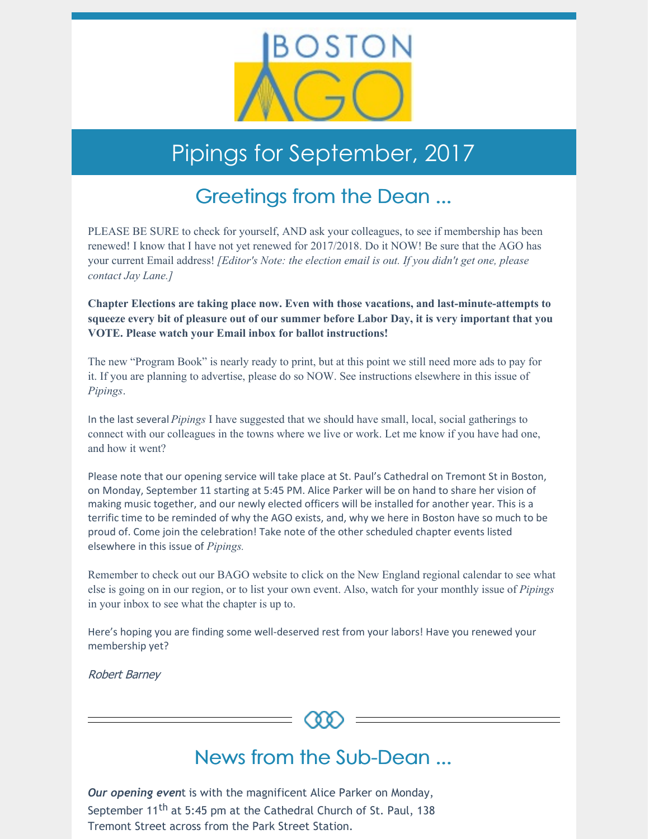

# Pipings for September, 2017

## Greetings from the Dean ...

PLEASE BE SURE to check for yourself, AND ask your colleagues, to see if membership has been renewed! I know that I have not yet renewed for 2017/2018. Do it NOW! Be sure that the AGO has your current Email address! *[Editor's Note: the election email is out. If you didn't get one, please contact Jay Lane.]*

**Chapter Elections are taking place now. Even with those vacations, and last-minute-attempts to squeeze every bit of pleasure out of our summer before Labor Day, it is very important that you VOTE. Please watch your Email inbox for ballot instructions!**

The new "Program Book" is nearly ready to print, but at this point we still need more ads to pay for it. If you are planning to advertise, please do so NOW. See instructions elsewhere in this issue of *Pipings*.

In the last several *Pipings* I have suggested that we should have small, local, social gatherings to connect with our colleagues in the towns where we live or work. Let me know if you have had one, and how it went?

Please note that our opening service will take place at St. Paul's Cathedral on Tremont St in Boston, on Monday, September 11 starting at 5:45 PM. Alice Parker will be on hand to share her vision of making music together, and our newly elected officers will be installed for another year. This is a terrific time to be reminded of why the AGO exists, and, why we here in Boston have so much to be proud of. Come join the celebration! Take note of the other scheduled chapter events listed elsewhere in this issue of *Pipings.*

Remember to check out our BAGO website to click on the New England regional calendar to see what else is going on in our region, or to list your own event. Also, watch for your monthly issue of *Pipings* in your inbox to see what the chapter is up to.

Here's hoping you are finding some well-deserved rest from your labors! Have you renewed your membership yet?

Robert Barney



### News from the Sub-Dean ...

*Our opening even*t is with the magnificent Alice Parker on Monday, September 11<sup>th</sup> at 5:45 pm at the Cathedral Church of St. Paul, 138 Tremont Street across from the Park Street Station.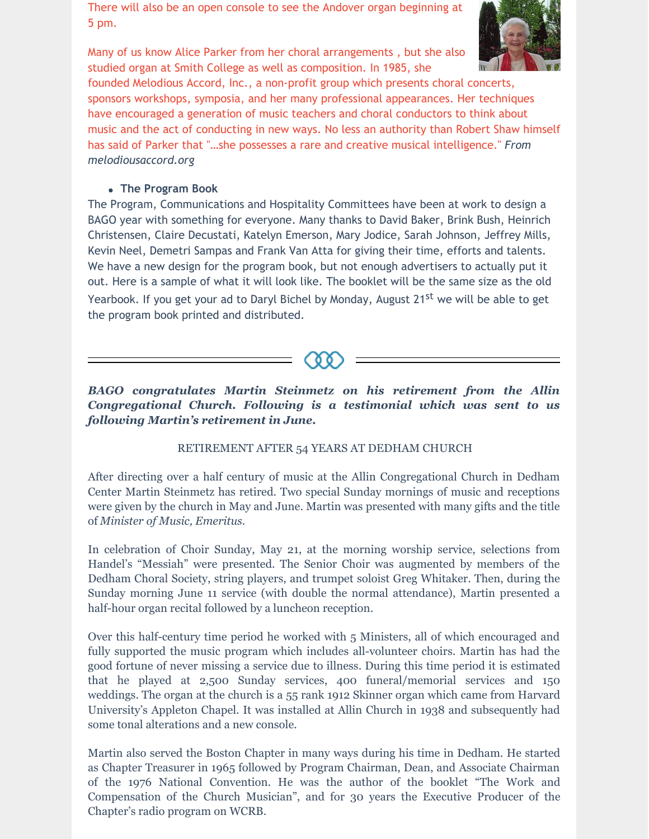There will also be an open console to see the Andover organ beginning at 5 pm.



Many of us know Alice Parker from her choral arrangements , but she also studied organ at Smith College as well as composition. In 1985, she

founded Melodious Accord, Inc., a non-profit group which presents choral concerts, sponsors workshops, symposia, and her many professional appearances. Her techniques have encouraged a generation of music teachers and choral conductors to think about music and the act of conducting in new ways. No less an authority than Robert Shaw himself has said of Parker that "…she possesses a rare and creative musical intelligence." *From melodiousaccord.org*

#### **The Program Book**

The Program, Communications and Hospitality Committees have been at work to design a BAGO year with something for everyone. Many thanks to David Baker, Brink Bush, Heinrich Christensen, Claire Decustati, Katelyn Emerson, Mary Jodice, Sarah Johnson, Jeffrey Mills, Kevin Neel, Demetri Sampas and Frank Van Atta for giving their time, efforts and talents. We have a new design for the program book, but not enough advertisers to actually put it out. Here is a sample of what it will look like. The booklet will be the same size as the old Yearbook. If you get your ad to Daryl Bichel by Monday, August 21<sup>st</sup> we will be able to get the program book printed and distributed.



*BAGO congratulates Martin Steinmetz on his retirement from the Allin Congregational Church. Following is a testimonial which was sent to us following Martin's retirement in June.*

### RETIREMENT AFTER 54 YEARS AT DEDHAM CHURCH

After directing over a half century of music at the Allin Congregational Church in Dedham Center Martin Steinmetz has retired. Two special Sunday mornings of music and receptions were given by the church in May and June. Martin was presented with many gifts and the title of *Minister of Music, Emeritus.*

In celebration of Choir Sunday, May 21, at the morning worship service, selections from Handel's "Messiah" were presented. The Senior Choir was augmented by members of the Dedham Choral Society, string players, and trumpet soloist Greg Whitaker. Then, during the Sunday morning June 11 service (with double the normal attendance), Martin presented a half-hour organ recital followed by a luncheon reception.

Over this half-century time period he worked with 5 Ministers, all of which encouraged and fully supported the music program which includes all-volunteer choirs. Martin has had the good fortune of never missing a service due to illness. During this time period it is estimated that he played at 2,500 Sunday services, 400 funeral/memorial services and 150 weddings. The organ at the church is a 55 rank 1912 Skinner organ which came from Harvard University's Appleton Chapel. It was installed at Allin Church in 1938 and subsequently had some tonal alterations and a new console.

Martin also served the Boston Chapter in many ways during his time in Dedham. He started as Chapter Treasurer in 1965 followed by Program Chairman, Dean, and Associate Chairman of the 1976 National Convention. He was the author of the booklet "The Work and Compensation of the Church Musician", and for 30 years the Executive Producer of the Chapter's radio program on WCRB.